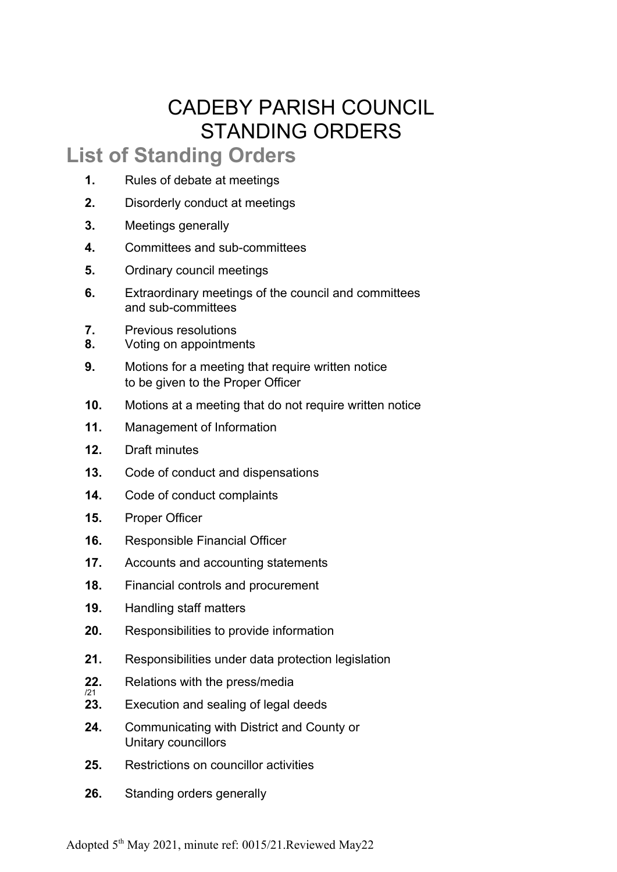# CADEBY PARISH COUNCIL STANDING ORDERS

#### **List of Standing Orders**

- **1.** Rules of debate at meetings
- **2.** Disorderly conduct at meetings
- **3.** Meetings generally
- **4.** Committees and sub-committees
- **5.** Ordinary council meetings
- **6.** Extraordinary meetings of the council and committees and sub-committees
- **7.** Previous resolutions
- **8.** Voting on appointments
- **9.** Motions for a meeting that require written notice to be given to the Proper Officer
- **10.** Motions at a meeting that do not require written notice
- **11.** Management of Information
- **12.** Draft minutes
- **13.** Code of conduct and dispensations
- **14.** Code of conduct complaints
- **15.** Proper Officer
- **16.** Responsible Financial Officer
- **17.** Accounts and accounting statements
- **18.** Financial controls and procurement
- **19.** Handling staff matters
- **20.** Responsibilities to provide information
- **21.** Responsibilities under data protection legislation
- **22.** Relations with the press/media /21
- **23.** Execution and sealing of legal deeds
- **24.** Communicating with District and County or Unitary councillors
- **25.** Restrictions on councillor activities
- **26.** Standing orders generally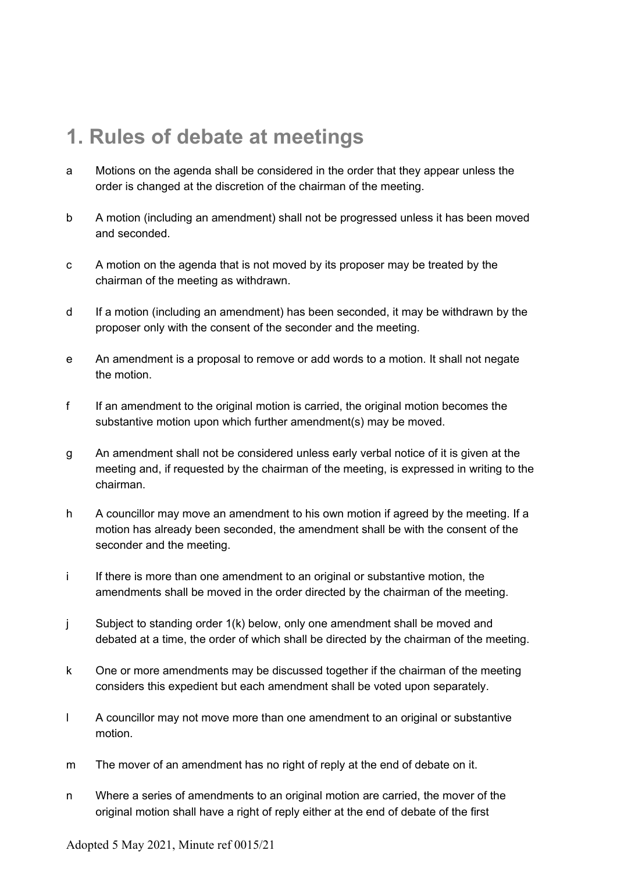#### **1. Rules of debate at meetings**

- a Motions on the agenda shall be considered in the order that they appear unless the order is changed at the discretion of the chairman of the meeting.
- b A motion (including an amendment) shall not be progressed unless it has been moved and seconded.
- c A motion on the agenda that is not moved by its proposer may be treated by the chairman of the meeting as withdrawn.
- d If a motion (including an amendment) has been seconded, it may be withdrawn by the proposer only with the consent of the seconder and the meeting.
- e An amendment is a proposal to remove or add words to a motion. It shall not negate the motion.
- f If an amendment to the original motion is carried, the original motion becomes the substantive motion upon which further amendment(s) may be moved.
- g An amendment shall not be considered unless early verbal notice of it is given at the meeting and, if requested by the chairman of the meeting, is expressed in writing to the chairman.
- h A councillor may move an amendment to his own motion if agreed by the meeting. If a motion has already been seconded, the amendment shall be with the consent of the seconder and the meeting.
- i If there is more than one amendment to an original or substantive motion, the amendments shall be moved in the order directed by the chairman of the meeting.
- j Subject to standing order 1(k) below, only one amendment shall be moved and debated at a time, the order of which shall be directed by the chairman of the meeting.
- k One or more amendments may be discussed together if the chairman of the meeting considers this expedient but each amendment shall be voted upon separately.
- l A councillor may not move more than one amendment to an original or substantive motion.
- m The mover of an amendment has no right of reply at the end of debate on it.
- n Where a series of amendments to an original motion are carried, the mover of the original motion shall have a right of reply either at the end of debate of the first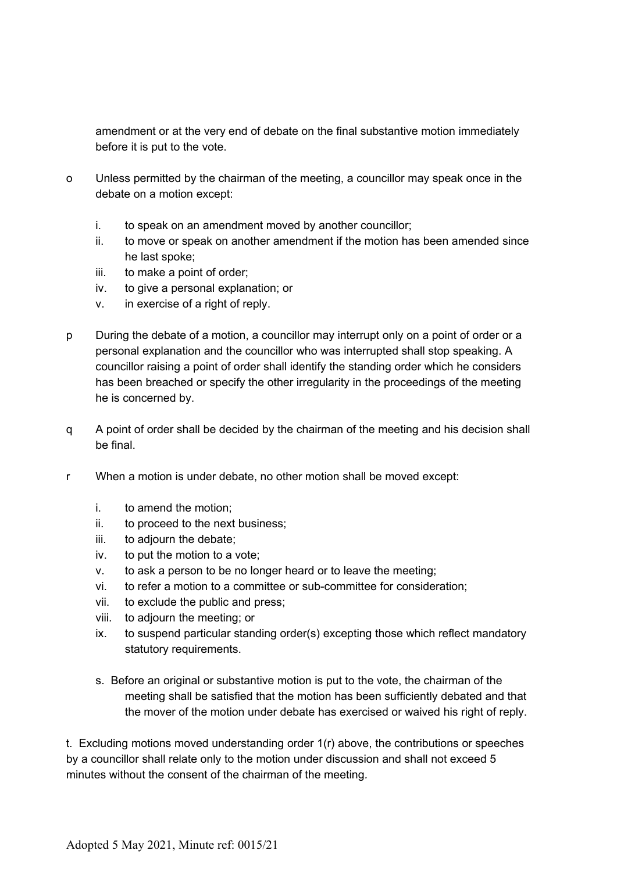amendment or at the very end of debate on the final substantive motion immediately before it is put to the vote.

- o Unless permitted by the chairman of the meeting, a councillor may speak once in the debate on a motion except:
	- i. to speak on an amendment moved by another councillor;
	- ii. to move or speak on another amendment if the motion has been amended since he last spoke;
	- iii. to make a point of order;
	- iv. to give a personal explanation; or
	- v. in exercise of a right of reply.
- p During the debate of a motion, a councillor may interrupt only on a point of order or a personal explanation and the councillor who was interrupted shall stop speaking. A councillor raising a point of order shall identify the standing order which he considers has been breached or specify the other irregularity in the proceedings of the meeting he is concerned by.
- q A point of order shall be decided by the chairman of the meeting and his decision shall be final.
- r When a motion is under debate, no other motion shall be moved except:
	- i. to amend the motion;
	- ii. to proceed to the next business;
	- iii. to adjourn the debate;
	- iv. to put the motion to a vote;
	- v. to ask a person to be no longer heard or to leave the meeting;
	- vi. to refer a motion to a committee or sub-committee for consideration;
	- vii. to exclude the public and press;
	- viii. to adjourn the meeting; or
	- ix. to suspend particular standing order(s) excepting those which reflect mandatory statutory requirements.
	- s. Before an original or substantive motion is put to the vote, the chairman of the meeting shall be satisfied that the motion has been sufficiently debated and that the mover of the motion under debate has exercised or waived his right of reply.

t. Excluding motions moved understanding order 1(r) above, the contributions or speeches by a councillor shall relate only to the motion under discussion and shall not exceed 5 minutes without the consent of the chairman of the meeting*.*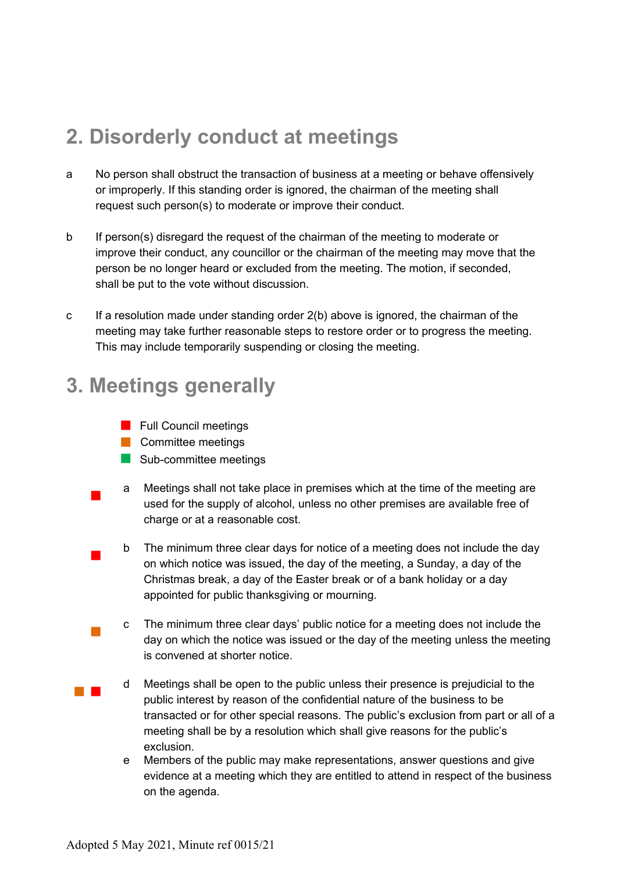## **2. Disorderly conduct at meetings**

- a No person shall obstruct the transaction of business at a meeting or behave offensively or improperly. If this standing order is ignored, the chairman of the meeting shall request such person(s) to moderate or improve their conduct.
- b If person(s) disregard the request of the chairman of the meeting to moderate or improve their conduct, any councillor or the chairman of the meeting may move that the person be no longer heard or excluded from the meeting. The motion, if seconded, shall be put to the vote without discussion.
- c If a resolution made under standing order 2(b) above is ignored, the chairman of the meeting may take further reasonable steps to restore order or to progress the meeting. This may include temporarily suspending or closing the meeting.

# **3. Meetings generally**

- **Full Council meetings**
- **Committee meetings**
- Sub-committee meetings
- $\mathcal{L}_{\mathcal{A}}$ a Meetings shall not take place in premises which at the time of the meeting are used for the supply of alcohol, unless no other premises are available free of charge or at a reasonable cost.
- $\mathcal{L}_{\mathcal{A}}$ b The minimum three clear days for notice of a meeting does not include the day on which notice was issued, the day of the meeting, a Sunday, a day of the Christmas break, a day of the Easter break or of a bank holiday or a day appointed for public thanksgiving or mourning.
	- c The minimum three clear days' public notice for a meeting does not include the day on which the notice was issued or the day of the meeting unless the meeting is convened at shorter notice.
- **The Contract** d Meetings shall be open to the public unless their presence is prejudicial to the public interest by reason of the confidential nature of the business to be transacted or for other special reasons. The public's exclusion from part or all of a meeting shall be by a resolution which shall give reasons for the public's exclusion.
	- e Members of the public may make representations, answer questions and give evidence at a meeting which they are entitled to attend in respect of the business on the agenda.

 $\mathcal{L}_{\mathcal{A}}$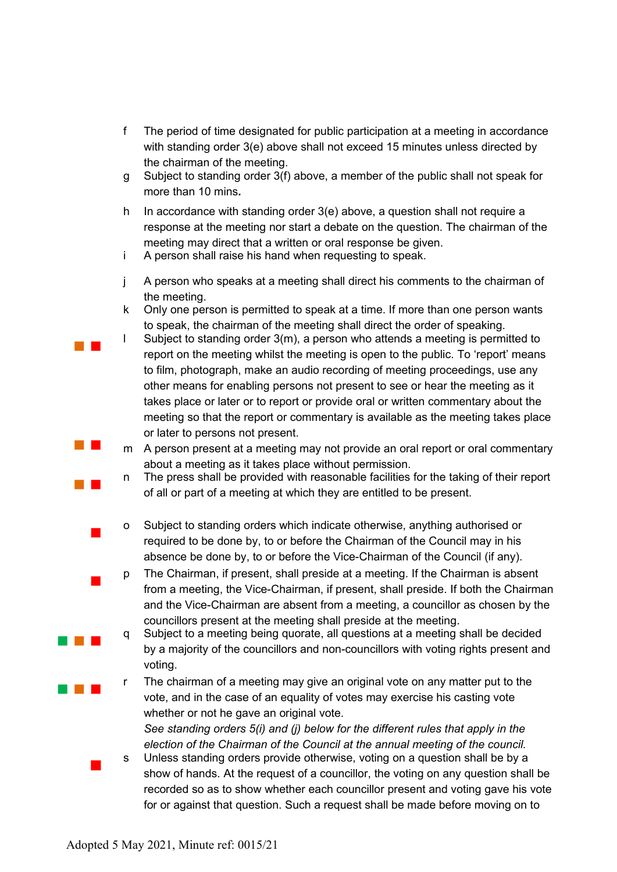- f The period of time designated for public participation at a meeting in accordance with standing order 3(e) above shall not exceed 15 minutes unless directed by the chairman of the meeting.
- g Subject to standing order 3(f) above, a member of the public shall not speak for more than 10 mins*.*
- h In accordance with standing order 3(e) above, a question shall not require a response at the meeting nor start a debate on the question. The chairman of the meeting may direct that a written or oral response be given.
- i A person shall raise his hand when requesting to speak.
- j A person who speaks at a meeting shall direct his comments to the chairman of the meeting.
- k Only one person is permitted to speak at a time. If more than one person wants to speak, the chairman of the meeting shall direct the order of speaking.
- l Subject to standing order 3(m), a person who attends a meeting is permitted to report on the meeting whilst the meeting is open to the public. To 'report' means to film, photograph, make an audio recording of meeting proceedings, use any other means for enabling persons not present to see or hear the meeting as it takes place or later or to report or provide oral or written commentary about the meeting so that the report or commentary is available as the meeting takes place or later to persons not present.
- m A person present at a meeting may not provide an oral report or oral commentary about a meeting as it takes place without permission.
- n The press shall be provided with reasonable facilities for the taking of their report of all or part of a meeting at which they are entitled to be present.
- o Subject to standing orders which indicate otherwise, anything authorised or required to be done by, to or before the Chairman of the Council may in his absence be done by, to or before the Vice-Chairman of the Council (if any).
- p The Chairman, if present, shall preside at a meeting. If the Chairman is absent from a meeting, the Vice-Chairman, if present, shall preside. If both the Chairman and the Vice-Chairman are absent from a meeting, a councillor as chosen by the councillors present at the meeting shall preside at the meeting.
- q Subject to a meeting being quorate, all questions at a meeting shall be decided by a majority of the councillors and non-councillors with voting rights present and voting.
- r The chairman of a meeting may give an original vote on any matter put to the vote, and in the case of an equality of votes may exercise his casting vote whether or not he gave an original vote.

*See standing orders 5(i) and (j) below for the different rules that apply in the election of the Chairman of the Council at the annual meeting of the council.*

s Unless standing orders provide otherwise, voting on a question shall be by a show of hands. At the request of a councillor, the voting on any question shall be recorded so as to show whether each councillor present and voting gave his vote for or against that question. Such a request shall be made before moving on to

 $\mathcal{L}^{\text{max}}_{\text{max}}$ 

 $\mathcal{L}^{\text{max}}_{\text{max}}$ 

 $\mathcal{L}^{\text{max}}_{\text{max}}$ 

 $\overline{\phantom{a}}$ 

 $\mathcal{L}_{\mathcal{A}}$ 

a na ka

**Contract Contract** 

 $\mathcal{L}_{\mathcal{A}}$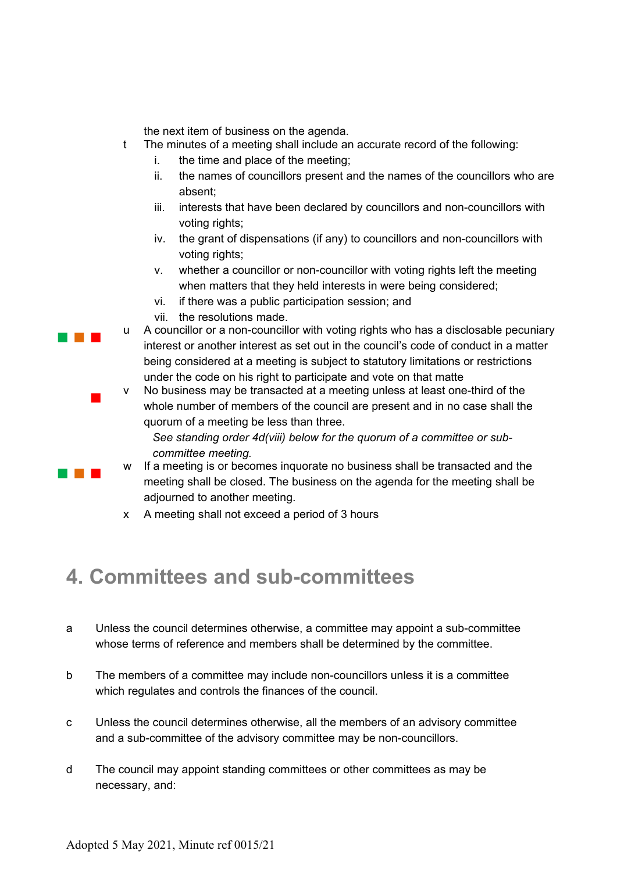the next item of business on the agenda.

- t The minutes of a meeting shall include an accurate record of the following:
	- i. the time and place of the meeting;
	- ii. the names of councillors present and the names of the councillors who are absent;
	- iii. interests that have been declared by councillors and non-councillors with voting rights;
	- iv. the grant of dispensations (if any) to councillors and non-councillors with voting rights;
	- v. whether a councillor or non-councillor with voting rights left the meeting when matters that they held interests in were being considered;
	- vi. if there was a public participation session; and
	- vii. the resolutions made.

. . .

a na ma

 $\overline{\phantom{a}}$ 

- u A councillor or a non-councillor with voting rights who has a disclosable pecuniary interest or another interest as set out in the council's code of conduct in a matter being considered at a meeting is subject to statutory limitations or restrictions under the code on his right to participate and vote on that matte
- v No business may be transacted at a meeting unless at least one-third of the whole number of members of the council are present and in no case shall the quorum of a meeting be less than three.

*See standing order 4d(viii) below for the quorum of a committee or subcommittee meeting.* 

- w If a meeting is or becomes inquorate no business shall be transacted and the meeting shall be closed. The business on the agenda for the meeting shall be adjourned to another meeting.
- x A meeting shall not exceed a period of 3 hours

# **4. Committees and sub-committees**

- a Unless the council determines otherwise, a committee may appoint a sub-committee whose terms of reference and members shall be determined by the committee.
- b The members of a committee may include non-councillors unless it is a committee which regulates and controls the finances of the council.
- c Unless the council determines otherwise, all the members of an advisory committee and a sub-committee of the advisory committee may be non-councillors.
- d The council may appoint standing committees or other committees as may be necessary, and: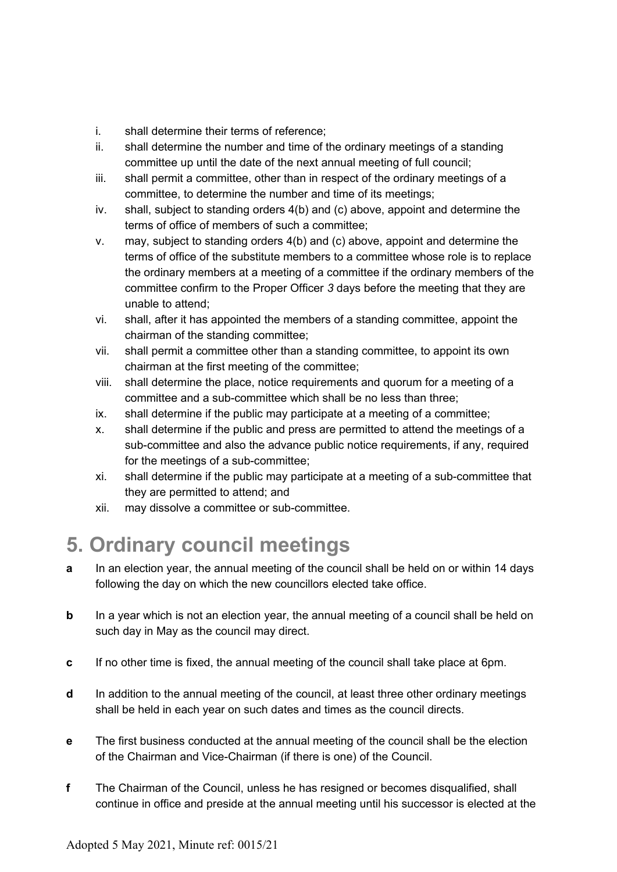- i. shall determine their terms of reference;
- ii. shall determine the number and time of the ordinary meetings of a standing committee up until the date of the next annual meeting of full council;
- iii. shall permit a committee, other than in respect of the ordinary meetings of a committee, to determine the number and time of its meetings;
- iv. shall, subject to standing orders 4(b) and (c) above, appoint and determine the terms of office of members of such a committee;
- v. may, subject to standing orders 4(b) and (c) above, appoint and determine the terms of office of the substitute members to a committee whose role is to replace the ordinary members at a meeting of a committee if the ordinary members of the committee confirm to the Proper Officer *3* days before the meeting that they are unable to attend;
- vi. shall, after it has appointed the members of a standing committee, appoint the chairman of the standing committee;
- vii. shall permit a committee other than a standing committee, to appoint its own chairman at the first meeting of the committee;
- viii. shall determine the place, notice requirements and quorum for a meeting of a committee and a sub-committee which shall be no less than three;
- ix. shall determine if the public may participate at a meeting of a committee;
- x. shall determine if the public and press are permitted to attend the meetings of a sub-committee and also the advance public notice requirements, if any, required for the meetings of a sub-committee;
- xi. shall determine if the public may participate at a meeting of a sub-committee that they are permitted to attend; and
- xii. may dissolve a committee or sub-committee.

# **5. Ordinary council meetings**

- **a** In an election year, the annual meeting of the council shall be held on or within 14 days following the day on which the new councillors elected take office.
- **b** In a year which is not an election year, the annual meeting of a council shall be held on such day in May as the council may direct.
- **c** If no other time is fixed, the annual meeting of the council shall take place at 6pm.
- **d** In addition to the annual meeting of the council, at least three other ordinary meetings shall be held in each year on such dates and times as the council directs.
- **e** The first business conducted at the annual meeting of the council shall be the election of the Chairman and Vice-Chairman (if there is one) of the Council.
- **f** The Chairman of the Council, unless he has resigned or becomes disqualified, shall continue in office and preside at the annual meeting until his successor is elected at the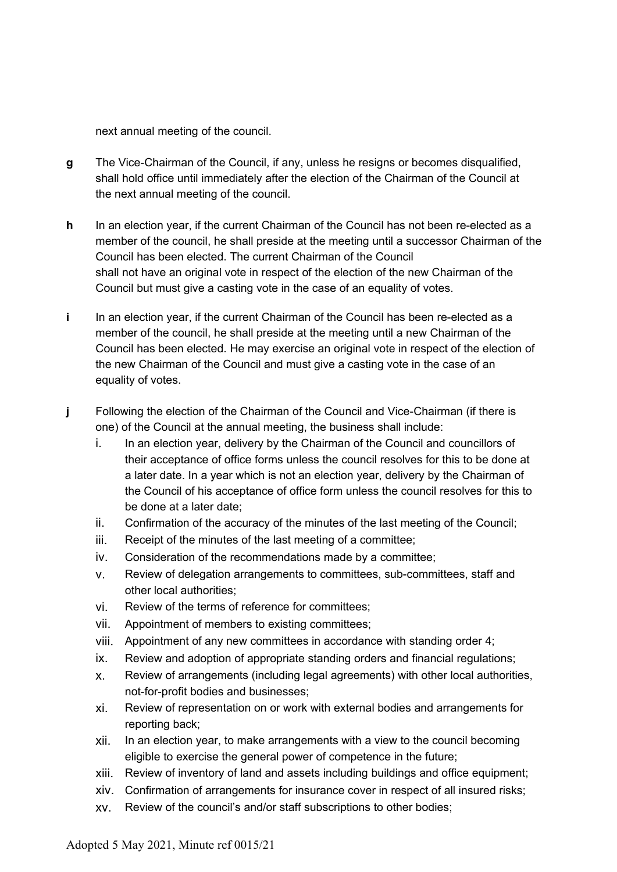next annual meeting of the council.

- **g** The Vice-Chairman of the Council, if any, unless he resigns or becomes disqualified, shall hold office until immediately after the election of the Chairman of the Council at the next annual meeting of the council.
- **h** In an election year, if the current Chairman of the Council has not been re-elected as a member of the council, he shall preside at the meeting until a successor Chairman of the Council has been elected. The current Chairman of the Council shall not have an original vote in respect of the election of the new Chairman of the Council but must give a casting vote in the case of an equality of votes.
- **i** In an election year, if the current Chairman of the Council has been re-elected as a member of the council, he shall preside at the meeting until a new Chairman of the Council has been elected. He may exercise an original vote in respect of the election of the new Chairman of the Council and must give a casting vote in the case of an equality of votes.
- **j** Following the election of the Chairman of the Council and Vice-Chairman (if there is one) of the Council at the annual meeting, the business shall include:
	- i. In an election year, delivery by the Chairman of the Council and councillors of their acceptance of office forms unless the council resolves for this to be done at a later date. In a year which is not an election year, delivery by the Chairman of the Council of his acceptance of office form unless the council resolves for this to be done at a later date;
	- ii. Confirmation of the accuracy of the minutes of the last meeting of the Council;
	- iii. Receipt of the minutes of the last meeting of a committee;
	- iv. Consideration of the recommendations made by a committee;
	- v. Review of delegation arrangements to committees, sub-committees, staff and other local authorities;
	- vi. Review of the terms of reference for committees;
	- vii. Appointment of members to existing committees;
	- viii. Appointment of any new committees in accordance with standing order 4;
	- ix. Review and adoption of appropriate standing orders and financial regulations;
	- x. Review of arrangements (including legal agreements) with other local authorities, not-for-profit bodies and businesses;
	- xi. Review of representation on or work with external bodies and arrangements for reporting back;
	- xii. In an election year, to make arrangements with a view to the council becoming eligible to exercise the general power of competence in the future;
	- xiii. Review of inventory of land and assets including buildings and office equipment;
	- xiv. Confirmation of arrangements for insurance cover in respect of all insured risks;
	- xv. Review of the council's and/or staff subscriptions to other bodies;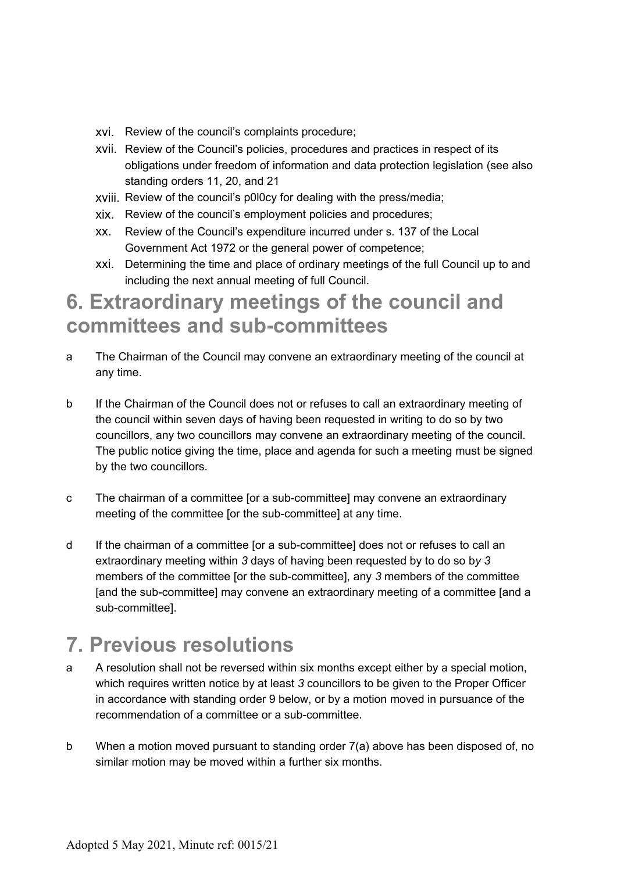- xvi. Review of the council's complaints procedure;
- xvii. Review of the Council's policies, procedures and practices in respect of its obligations under freedom of information and data protection legislation (see also standing orders 11, 20, and 21
- xviii. Review of the council's p0l0cy for dealing with the press/media;
- xix. Review of the council's employment policies and procedures;
- xx. Review of the Council's expenditure incurred under s. 137 of the Local Government Act 1972 or the general power of competence;
- xxi. Determining the time and place of ordinary meetings of the full Council up to and including the next annual meeting of full Council.

## **6. Extraordinary meetings of the council and committees and sub-committees**

- a The Chairman of the Council may convene an extraordinary meeting of the council at any time.
- b If the Chairman of the Council does not or refuses to call an extraordinary meeting of the council within seven days of having been requested in writing to do so by two councillors, any two councillors may convene an extraordinary meeting of the council. The public notice giving the time, place and agenda for such a meeting must be signed by the two councillors.
- c The chairman of a committee [or a sub-committee] may convene an extraordinary meeting of the committee [or the sub-committee] at any time.
- d If the chairman of a committee [or a sub-committee] does not or refuses to call an extraordinary meeting within *3* days of having been requested by to do so b*y 3* members of the committee [or the sub-committee], any *3* members of the committee [and the sub-committee] may convene an extraordinary meeting of a committee [and a sub-committee].

# **7. Previous resolutions**

- a A resolution shall not be reversed within six months except either by a special motion, which requires written notice by at least *3* councillors to be given to the Proper Officer in accordance with standing order 9 below, or by a motion moved in pursuance of the recommendation of a committee or a sub-committee.
- b When a motion moved pursuant to standing order 7(a) above has been disposed of, no similar motion may be moved within a further six months.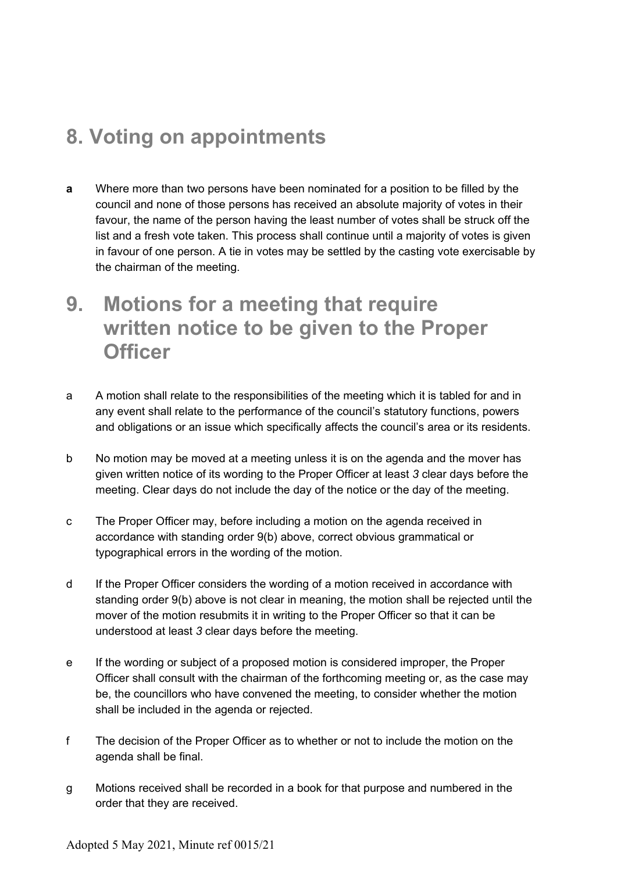## **8. Voting on appointments**

- **a** Where more than two persons have been nominated for a position to be filled by the council and none of those persons has received an absolute majority of votes in their favour, the name of the person having the least number of votes shall be struck off the list and a fresh vote taken. This process shall continue until a majority of votes is given in favour of one person. A tie in votes may be settled by the casting vote exercisable by the chairman of the meeting.
- **9. Motions for a meeting that require written notice to be given to the Proper Officer**
- a A motion shall relate to the responsibilities of the meeting which it is tabled for and in any event shall relate to the performance of the council's statutory functions, powers and obligations or an issue which specifically affects the council's area or its residents.
- b No motion may be moved at a meeting unless it is on the agenda and the mover has given written notice of its wording to the Proper Officer at least *3* clear days before the meeting. Clear days do not include the day of the notice or the day of the meeting.
- c The Proper Officer may, before including a motion on the agenda received in accordance with standing order 9(b) above, correct obvious grammatical or typographical errors in the wording of the motion.
- d If the Proper Officer considers the wording of a motion received in accordance with standing order 9(b) above is not clear in meaning, the motion shall be rejected until the mover of the motion resubmits it in writing to the Proper Officer so that it can be understood at least *3* clear days before the meeting.
- e If the wording or subject of a proposed motion is considered improper, the Proper Officer shall consult with the chairman of the forthcoming meeting or, as the case may be, the councillors who have convened the meeting, to consider whether the motion shall be included in the agenda or rejected.
- f The decision of the Proper Officer as to whether or not to include the motion on the agenda shall be final.
- g Motions received shall be recorded in a book for that purpose and numbered in the order that they are received.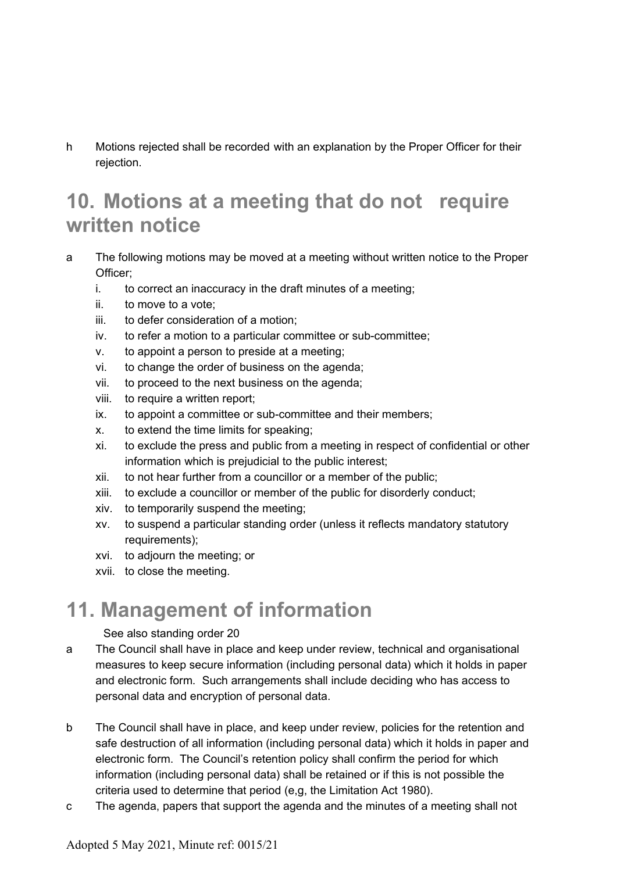h Motions rejected shall be recorded with an explanation by the Proper Officer for their rejection.

## **10. Motions at a meeting that do not require written notice**

- a The following motions may be moved at a meeting without written notice to the Proper Officer;
	- i. to correct an inaccuracy in the draft minutes of a meeting;
	- ii. to move to a vote;
	- iii. to defer consideration of a motion;
	- iv. to refer a motion to a particular committee or sub-committee;
	- v. to appoint a person to preside at a meeting;
	- vi. to change the order of business on the agenda;
	- vii. to proceed to the next business on the agenda;
	- viii. to require a written report;
	- ix. to appoint a committee or sub-committee and their members;
	- x. to extend the time limits for speaking;
	- xi. to exclude the press and public from a meeting in respect of confidential or other information which is prejudicial to the public interest;
	- xii. to not hear further from a councillor or a member of the public;
	- xiii. to exclude a councillor or member of the public for disorderly conduct;
	- xiv. to temporarily suspend the meeting;
	- xv. to suspend a particular standing order (unless it reflects mandatory statutory requirements);
	- xvi. to adjourn the meeting; or
	- xvii. to close the meeting.

## **11. Management of information**

#### See also standing order 20

- a The Council shall have in place and keep under review, technical and organisational measures to keep secure information (including personal data) which it holds in paper and electronic form. Such arrangements shall include deciding who has access to personal data and encryption of personal data.
- b The Council shall have in place, and keep under review, policies for the retention and safe destruction of all information (including personal data) which it holds in paper and electronic form. The Council's retention policy shall confirm the period for which information (including personal data) shall be retained or if this is not possible the criteria used to determine that period (e,g, the Limitation Act 1980).
- c The agenda, papers that support the agenda and the minutes of a meeting shall not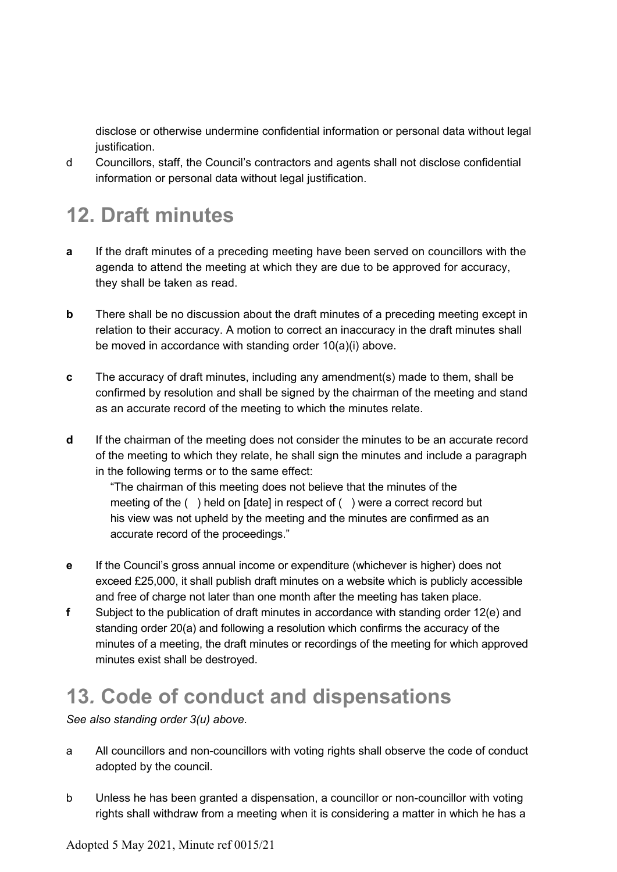disclose or otherwise undermine confidential information or personal data without legal justification.

d Councillors, staff, the Council's contractors and agents shall not disclose confidential information or personal data without legal justification.

# **12. Draft minutes**

- **a** If the draft minutes of a preceding meeting have been served on councillors with the agenda to attend the meeting at which they are due to be approved for accuracy, they shall be taken as read.
- **b** There shall be no discussion about the draft minutes of a preceding meeting except in relation to their accuracy. A motion to correct an inaccuracy in the draft minutes shall be moved in accordance with standing order 10(a)(i) above.
- **c** The accuracy of draft minutes, including any amendment(s) made to them, shall be confirmed by resolution and shall be signed by the chairman of the meeting and stand as an accurate record of the meeting to which the minutes relate.
- **d** If the chairman of the meeting does not consider the minutes to be an accurate record of the meeting to which they relate, he shall sign the minutes and include a paragraph in the following terms or to the same effect:

"The chairman of this meeting does not believe that the minutes of the meeting of the ( ) held on [date] in respect of ( ) were a correct record but his view was not upheld by the meeting and the minutes are confirmed as an accurate record of the proceedings."

- **e** If the Council's gross annual income or expenditure (whichever is higher) does not exceed £25,000, it shall publish draft minutes on a website which is publicly accessible and free of charge not later than one month after the meeting has taken place.
- **f** Subject to the publication of draft minutes in accordance with standing order 12(e) and standing order 20(a) and following a resolution which confirms the accuracy of the minutes of a meeting, the draft minutes or recordings of the meeting for which approved minutes exist shall be destroyed.

## **13***.* **Code of conduct and dispensations**

*See also standing order 3(u) above.* 

- a All councillors and non-councillors with voting rights shall observe the code of conduct adopted by the council.
- b Unless he has been granted a dispensation, a councillor or non-councillor with voting rights shall withdraw from a meeting when it is considering a matter in which he has a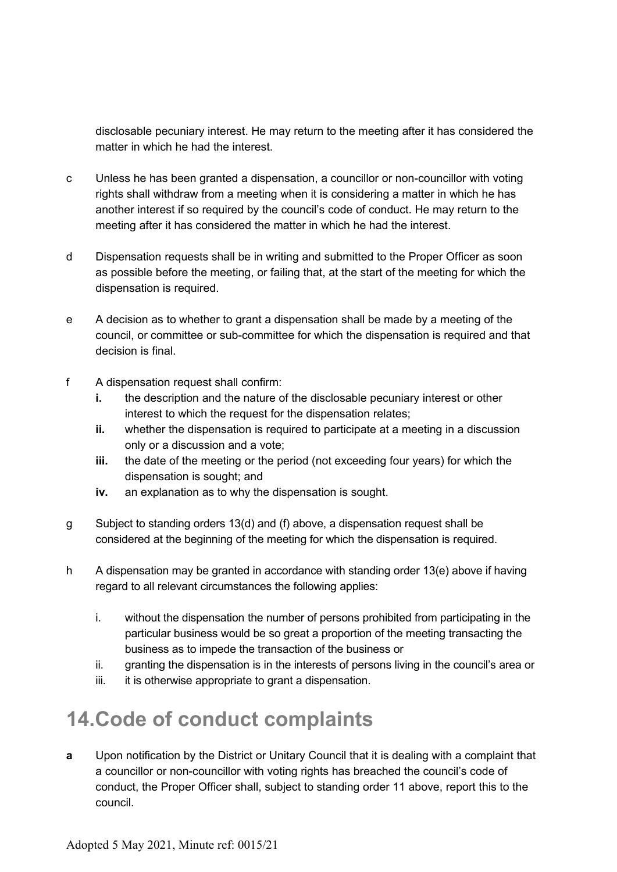disclosable pecuniary interest. He may return to the meeting after it has considered the matter in which he had the interest.

- c Unless he has been granted a dispensation, a councillor or non-councillor with voting rights shall withdraw from a meeting when it is considering a matter in which he has another interest if so required by the council's code of conduct. He may return to the meeting after it has considered the matter in which he had the interest.
- d Dispensation requests shall be in writing and submitted to the Proper Officer as soon as possible before the meeting, or failing that, at the start of the meeting for which the dispensation is required.
- e A decision as to whether to grant a dispensation shall be made by a meeting of the council, or committee or sub-committee for which the dispensation is required and that decision is final.
- f A dispensation request shall confirm:
	- **i.** the description and the nature of the disclosable pecuniary interest or other interest to which the request for the dispensation relates;
	- **ii.** whether the dispensation is required to participate at a meeting in a discussion only or a discussion and a vote;
	- **iii.** the date of the meeting or the period (not exceeding four years) for which the dispensation is sought; and
	- **iv.** an explanation as to why the dispensation is sought.
- g Subject to standing orders 13(d) and (f) above, a dispensation request shall be considered at the beginning of the meeting for which the dispensation is required.
- h A dispensation may be granted in accordance with standing order 13(e) above if having regard to all relevant circumstances the following applies:
	- i. without the dispensation the number of persons prohibited from participating in the particular business would be so great a proportion of the meeting transacting the business as to impede the transaction of the business or
	- ii. granting the dispensation is in the interests of persons living in the council's area or
	- iii. it is otherwise appropriate to grant a dispensation.

### **14.Code of conduct complaints**

**a** Upon notification by the District or Unitary Council that it is dealing with a complaint that a councillor or non-councillor with voting rights has breached the council's code of conduct, the Proper Officer shall, subject to standing order 11 above, report this to the council.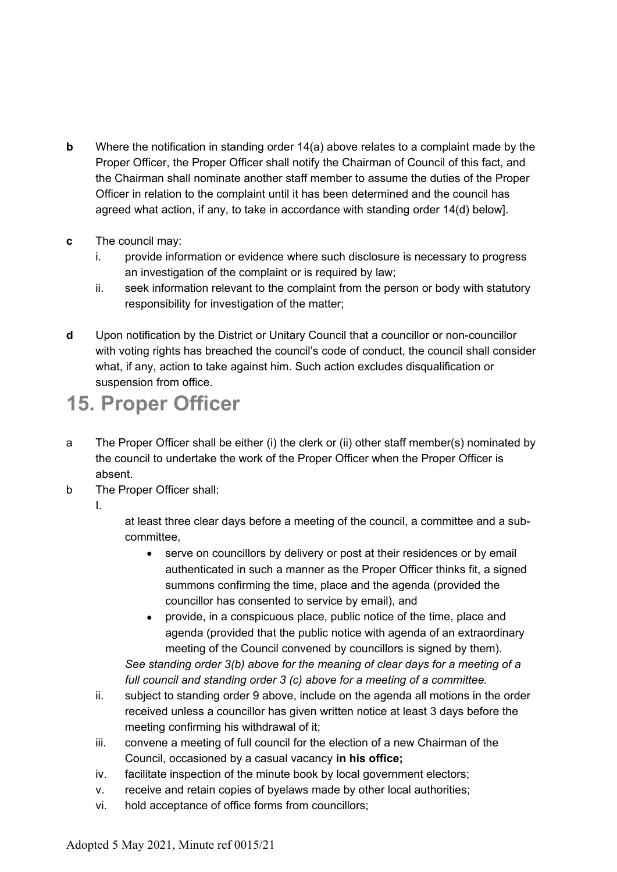- **b** Where the notification in standing order 14(a) above relates to a complaint made by the Proper Officer, the Proper Officer shall notify the Chairman of Council of this fact, and the Chairman shall nominate another staff member to assume the duties of the Proper Officer in relation to the complaint until it has been determined and the council has agreed what action, if any, to take in accordance with standing order 14(d) below].
- **c** The council may:
	- i. provide information or evidence where such disclosure is necessary to progress an investigation of the complaint or is required by law;
	- ii. seek information relevant to the complaint from the person or body with statutory responsibility for investigation of the matter;
- **d** Upon notification by the District or Unitary Council that a councillor or non-councillor with voting rights has breached the council's code of conduct, the council shall consider what, if any, action to take against him. Such action excludes disqualification or suspension from office.

# **15. Proper Officer**

- a The Proper Officer shall be either (i) the clerk or (ii) other staff member(s) nominated by the council to undertake the work of the Proper Officer when the Proper Officer is absent.
- b The Proper Officer shall:
	- I.

at least three clear days before a meeting of the council, a committee and a subcommittee,

- serve on councillors by delivery or post at their residences or by email authenticated in such a manner as the Proper Officer thinks fit, a signed summons confirming the time, place and the agenda (provided the councillor has consented to service by email), and
- provide, in a conspicuous place, public notice of the time, place and agenda (provided that the public notice with agenda of an extraordinary meeting of the Council convened by councillors is signed by them).

*See standing order 3(b) above for the meaning of clear days for a meeting of a full council and standing order 3 (c) above for a meeting of a committee.*

- ii. subject to standing order 9 above, include on the agenda all motions in the order received unless a councillor has given written notice at least 3 days before the meeting confirming his withdrawal of it;
- iii. convene a meeting of full council for the election of a new Chairman of the Council, occasioned by a casual vacancy **in his office;**
- iv. facilitate inspection of the minute book by local government electors;
- v. receive and retain copies of byelaws made by other local authorities;
- vi. hold acceptance of office forms from councillors;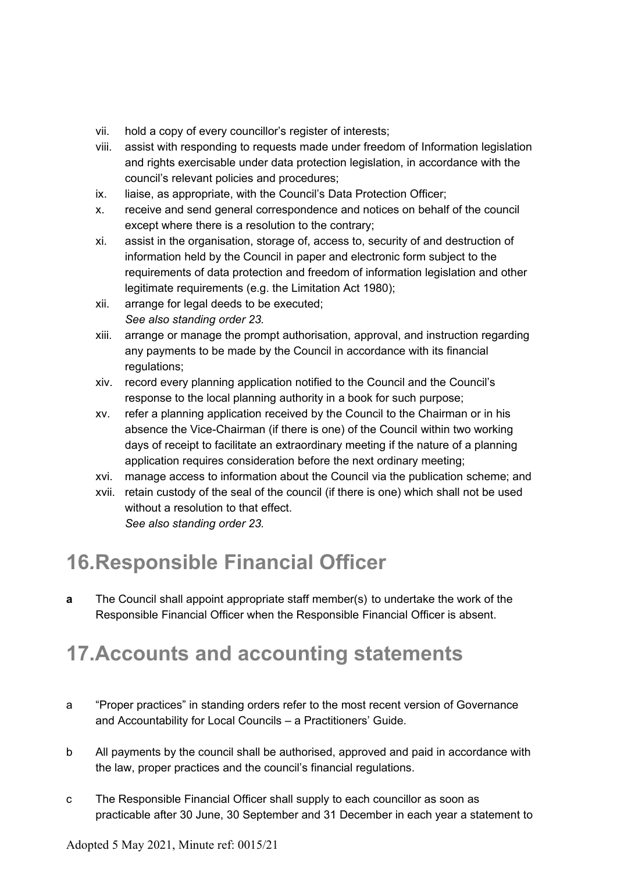- vii. hold a copy of every councillor's register of interests;
- viii. assist with responding to requests made under freedom of Information legislation and rights exercisable under data protection legislation, in accordance with the council's relevant policies and procedures;
- ix. liaise, as appropriate, with the Council's Data Protection Officer;
- x. receive and send general correspondence and notices on behalf of the council except where there is a resolution to the contrary;
- xi. assist in the organisation, storage of, access to, security of and destruction of information held by the Council in paper and electronic form subject to the requirements of data protection and freedom of information legislation and other legitimate requirements (e.g. the Limitation Act 1980);
- xii. arrange for legal deeds to be executed; *See also standing order 23.*
- xiii. arrange or manage the prompt authorisation, approval, and instruction regarding any payments to be made by the Council in accordance with its financial regulations;
- xiv. record every planning application notified to the Council and the Council's response to the local planning authority in a book for such purpose;
- xv. refer a planning application received by the Council to the Chairman or in his absence the Vice-Chairman (if there is one) of the Council within two working days of receipt to facilitate an extraordinary meeting if the nature of a planning application requires consideration before the next ordinary meeting;
- xvi. manage access to information about the Council via the publication scheme; and
- xvii. retain custody of the seal of the council (if there is one) which shall not be used without a resolution to that effect. *See also standing order 23.*

### **16***.***Responsible Financial Officer**

**a** The Council shall appoint appropriate staff member(s) to undertake the work of the Responsible Financial Officer when the Responsible Financial Officer is absent.

## **17.Accounts and accounting statements**

- a "Proper practices" in standing orders refer to the most recent version of Governance and Accountability for Local Councils – a Practitioners' Guide.
- b All payments by the council shall be authorised, approved and paid in accordance with the law, proper practices and the council's financial regulations.
- c The Responsible Financial Officer shall supply to each councillor as soon as practicable after 30 June, 30 September and 31 December in each year a statement to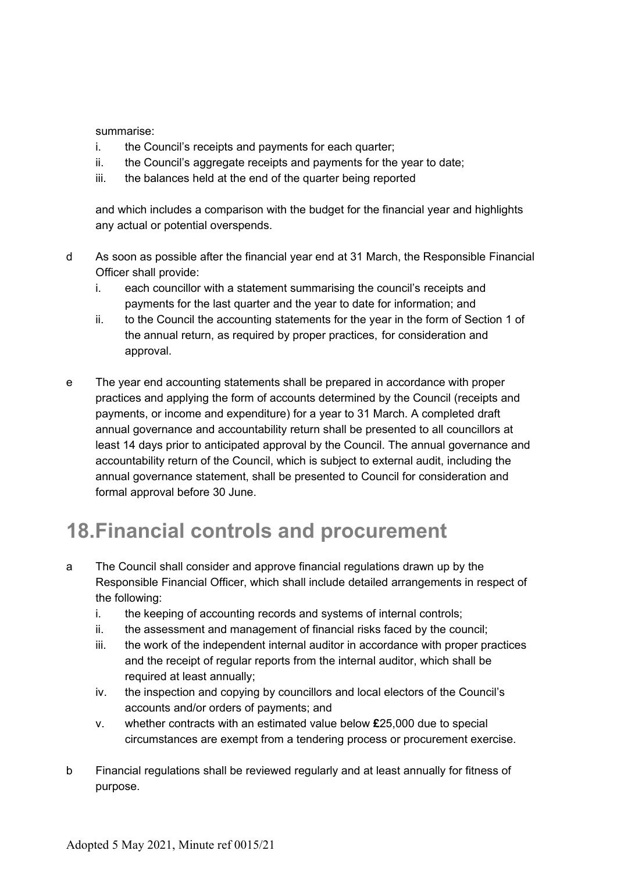summarise:

- i. the Council's receipts and payments for each quarter;
- ii. the Council's aggregate receipts and payments for the year to date;
- iii. the balances held at the end of the quarter being reported

and which includes a comparison with the budget for the financial year and highlights any actual or potential overspends.

- d As soon as possible after the financial year end at 31 March, the Responsible Financial Officer shall provide:
	- i. each councillor with a statement summarising the council's receipts and payments for the last quarter and the year to date for information; and
	- ii. to the Council the accounting statements for the year in the form of Section 1 of the annual return, as required by proper practices, for consideration and approval.
- e The year end accounting statements shall be prepared in accordance with proper practices and applying the form of accounts determined by the Council (receipts and payments, or income and expenditure) for a year to 31 March. A completed draft annual governance and accountability return shall be presented to all councillors at least 14 days prior to anticipated approval by the Council. The annual governance and accountability return of the Council, which is subject to external audit, including the annual governance statement, shall be presented to Council for consideration and formal approval before 30 June.

# **18.Financial controls and procurement**

- a The Council shall consider and approve financial regulations drawn up by the Responsible Financial Officer, which shall include detailed arrangements in respect of the following:
	- i. the keeping of accounting records and systems of internal controls;
	- ii. the assessment and management of financial risks faced by the council;
	- iii. the work of the independent internal auditor in accordance with proper practices and the receipt of regular reports from the internal auditor, which shall be required at least annually;
	- iv. the inspection and copying by councillors and local electors of the Council's accounts and/or orders of payments; and
	- v. whether contracts with an estimated value below **£**25,000 due to special circumstances are exempt from a tendering process or procurement exercise.
- b Financial regulations shall be reviewed regularly and at least annually for fitness of purpose.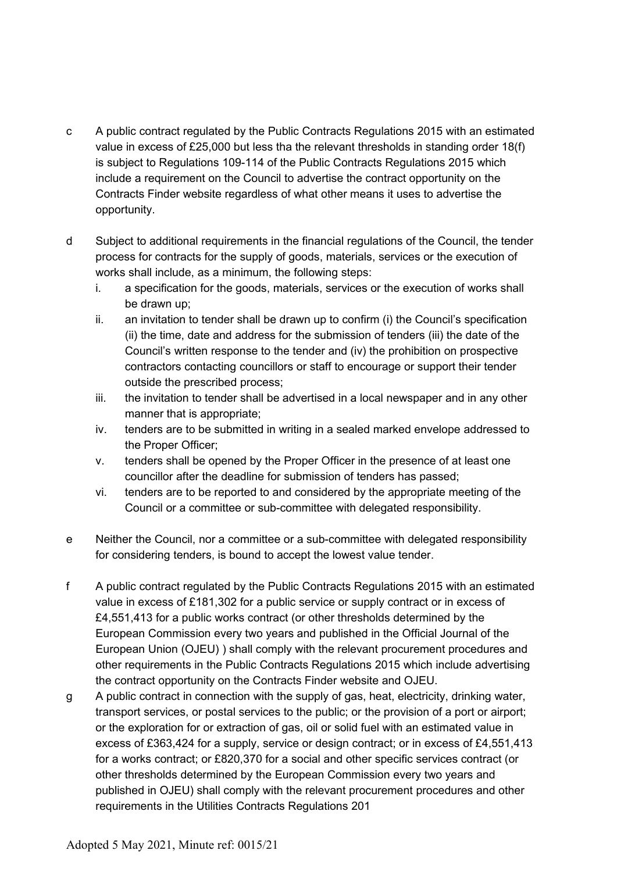- c A public contract regulated by the Public Contracts Regulations 2015 with an estimated value in excess of £25,000 but less tha the relevant thresholds in standing order 18(f) is subject to Regulations 109-114 of the Public Contracts Regulations 2015 which include a requirement on the Council to advertise the contract opportunity on the Contracts Finder website regardless of what other means it uses to advertise the opportunity.
- d Subject to additional requirements in the financial regulations of the Council, the tender process for contracts for the supply of goods, materials, services or the execution of works shall include, as a minimum, the following steps:
	- i. a specification for the goods, materials, services or the execution of works shall be drawn up;
	- ii. an invitation to tender shall be drawn up to confirm (i) the Council's specification (ii) the time, date and address for the submission of tenders (iii) the date of the Council's written response to the tender and (iv) the prohibition on prospective contractors contacting councillors or staff to encourage or support their tender outside the prescribed process;
	- iii. the invitation to tender shall be advertised in a local newspaper and in any other manner that is appropriate;
	- iv. tenders are to be submitted in writing in a sealed marked envelope addressed to the Proper Officer;
	- v. tenders shall be opened by the Proper Officer in the presence of at least one councillor after the deadline for submission of tenders has passed;
	- vi. tenders are to be reported to and considered by the appropriate meeting of the Council or a committee or sub-committee with delegated responsibility.
- e Neither the Council, nor a committee or a sub-committee with delegated responsibility for considering tenders, is bound to accept the lowest value tender.
- f A public contract regulated by the Public Contracts Regulations 2015 with an estimated value in excess of £181,302 for a public service or supply contract or in excess of £4,551,413 for a public works contract (or other thresholds determined by the European Commission every two years and published in the Official Journal of the European Union (OJEU) ) shall comply with the relevant procurement procedures and other requirements in the Public Contracts Regulations 2015 which include advertising the contract opportunity on the Contracts Finder website and OJEU.
- g A public contract in connection with the supply of gas, heat, electricity, drinking water, transport services, or postal services to the public; or the provision of a port or airport; or the exploration for or extraction of gas, oil or solid fuel with an estimated value in excess of £363,424 for a supply, service or design contract; or in excess of £4,551,413 for a works contract; or £820,370 for a social and other specific services contract (or other thresholds determined by the European Commission every two years and published in OJEU) shall comply with the relevant procurement procedures and other requirements in the Utilities Contracts Regulations 201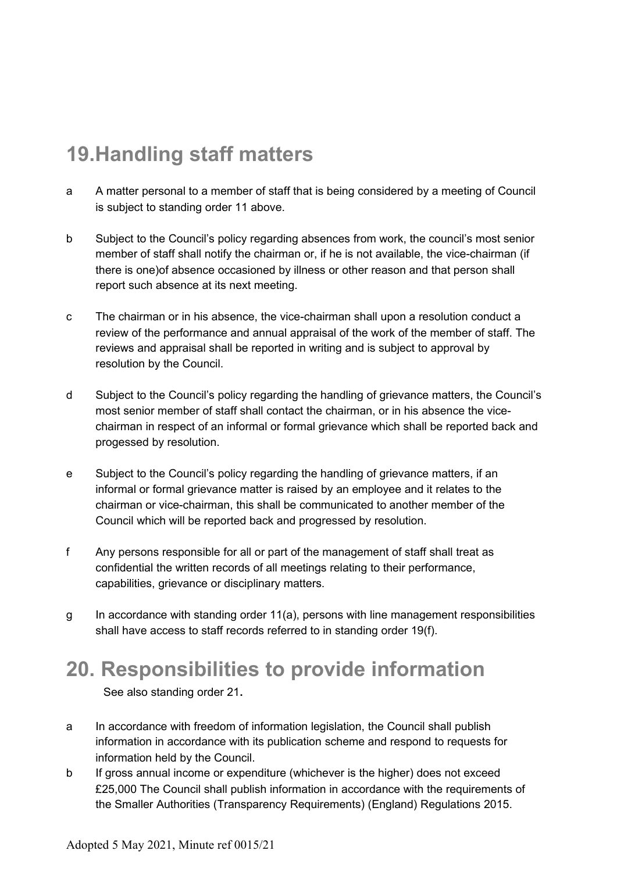# **19.Handling staff matters**

- a A matter personal to a member of staff that is being considered by a meeting of Council is subject to standing order 11 above.
- b Subject to the Council's policy regarding absences from work, the council's most senior member of staff shall notify the chairman or, if he is not available, the vice-chairman (if there is one)of absence occasioned by illness or other reason and that person shall report such absence at its next meeting.
- c The chairman or in his absence, the vice-chairman shall upon a resolution conduct a review of the performance and annual appraisal of the work of the member of staff. The reviews and appraisal shall be reported in writing and is subject to approval by resolution by the Council.
- d Subject to the Council's policy regarding the handling of grievance matters, the Council's most senior member of staff shall contact the chairman, or in his absence the vicechairman in respect of an informal or formal grievance which shall be reported back and progessed by resolution.
- e Subject to the Council's policy regarding the handling of grievance matters, if an informal or formal grievance matter is raised by an employee and it relates to the chairman or vice-chairman, this shall be communicated to another member of the Council which will be reported back and progressed by resolution.
- f Any persons responsible for all or part of the management of staff shall treat as confidential the written records of all meetings relating to their performance, capabilities, grievance or disciplinary matters.
- g In accordance with standing order 11(a), persons with line management responsibilities shall have access to staff records referred to in standing order 19(f).

### **20. Responsibilities to provide information**

See also standing order 21**.**

- a In accordance with freedom of information legislation, the Council shall publish information in accordance with its publication scheme and respond to requests for information held by the Council.
- b If gross annual income or expenditure (whichever is the higher) does not exceed £25,000 The Council shall publish information in accordance with the requirements of the Smaller Authorities (Transparency Requirements) (England) Regulations 2015.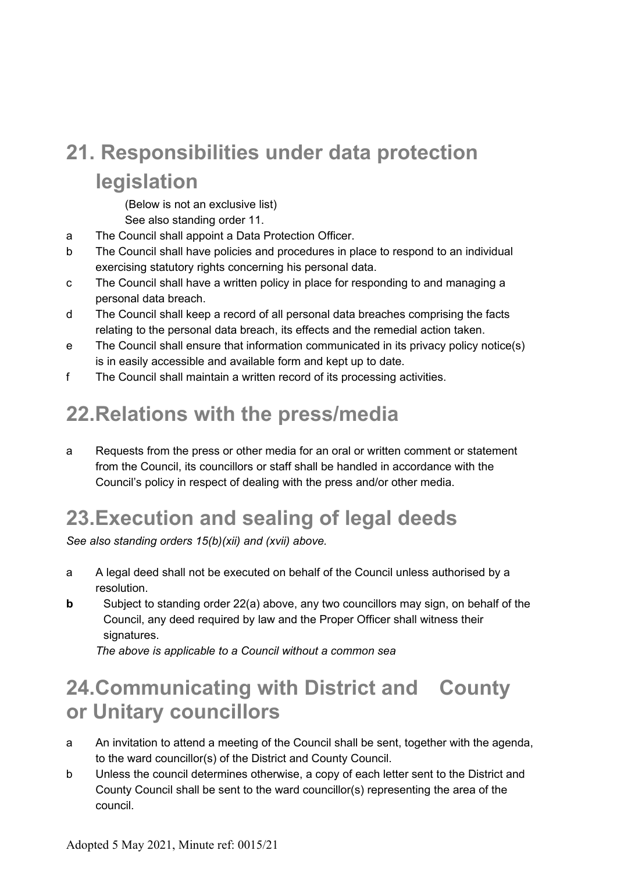# **21. Responsibilities under data protection legislation**

(Below is not an exclusive list)

See also standing order 11.

- a The Council shall appoint a Data Protection Officer.
- b The Council shall have policies and procedures in place to respond to an individual exercising statutory rights concerning his personal data.
- c The Council shall have a written policy in place for responding to and managing a personal data breach.
- d The Council shall keep a record of all personal data breaches comprising the facts relating to the personal data breach, its effects and the remedial action taken.
- e The Council shall ensure that information communicated in its privacy policy notice(s) is in easily accessible and available form and kept up to date.
- f The Council shall maintain a written record of its processing activities.

# **22.Relations with the press/media**

a Requests from the press or other media for an oral or written comment or statement from the Council, its councillors or staff shall be handled in accordance with the Council's policy in respect of dealing with the press and/or other media.

# **23.Execution and sealing of legal deeds**

*See also standing orders 15(b)(xii) and (xvii) above.*

- a A legal deed shall not be executed on behalf of the Council unless authorised by a resolution.
- **b** Subject to standing order 22(a) above, any two councillors may sign, on behalf of the Council, any deed required by law and the Proper Officer shall witness their signatures.

*The above is applicable to a Council without a common sea*

## **24.Communicating with District and County or Unitary councillors**

- a An invitation to attend a meeting of the Council shall be sent, together with the agenda, to the ward councillor(s) of the District and County Council.
- b Unless the council determines otherwise, a copy of each letter sent to the District and County Council shall be sent to the ward councillor(s) representing the area of the council.